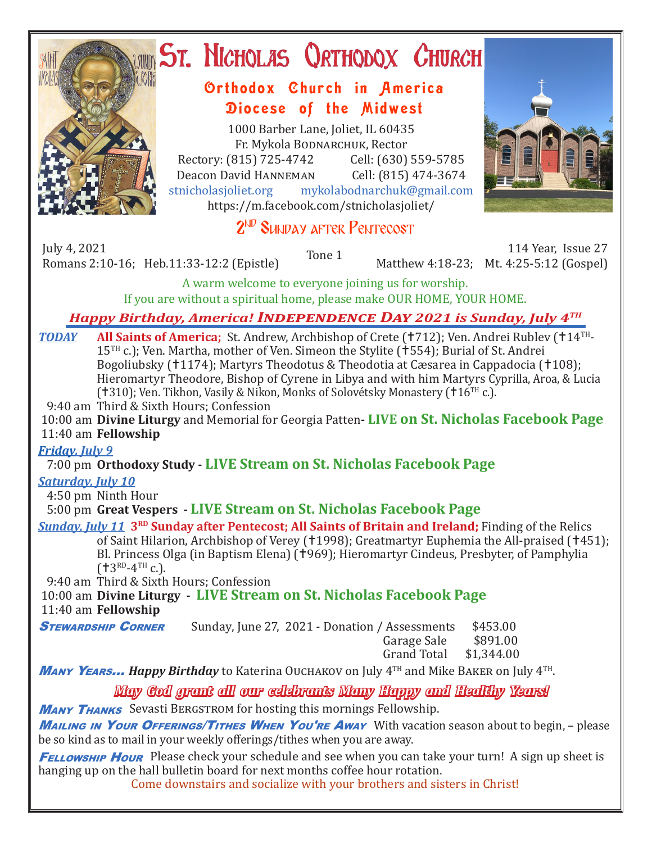

## **ST. NICHOLAS ORTHODOX CHURCH**

## Orthodox Church in America Diocese of the Midwest

1000 Barber Lane, Joliet, IL 60435 Fr. Mykola Bodnarchuk, Rector<br>315) 725-4742 Cell: (630) 559-5785 Rectory: (815) 725-4742 Cell: (630) 559-5785<br>Deacon David HANNEMAN Cell: (815) 474-3674 Deacon David HANNEMAN<br>stnicholasioliet.org mvk mykolabodnarchuk@gmail.com https://m.facebook.com/stnicholasjoliet/



## 2<sup>ND</sup> SUNDAY AFTER PENTECOST

July 4, 2021<br>Romans 2:10-16; Heb.11:33-12:2 (Epistle) Romans 2:10-16; Heb.11:33-12:2 (Epistle) Tone 1 114 Year, Issue 27 Matthew 4:18-23; Mt. 4:25-5:12 (Gospel)

A warm welcome to everyone joining us for worship.

If you are without a spiritual home, please make OUR HOME, YOUR HOME.

## *Happy Birthday, America! Independence Day 2021 is Sunday, July 4TH*

| All Saints of America; St. Andrew, Archbishop of Crete (†712); Ven. Andrei Rublev (†14TH-<br><b>TODAY</b><br>15 <sup>TH</sup> c.); Ven. Martha, mother of Ven. Simeon the Stylite (†554); Burial of St. Andrei<br>Bogoliubsky (†1174); Martyrs Theodotus & Theodotia at Cæsarea in Cappadocia (†108);<br>Hieromartyr Theodore, Bishop of Cyrene in Libya and with him Martyrs Cyprilla, Aroa, & Lucia<br>(†310); Ven. Tikhon, Vasily & Nikon, Monks of Solovétsky Monastery (†16 <sup>TH</sup> c.). |  |  |
|-----------------------------------------------------------------------------------------------------------------------------------------------------------------------------------------------------------------------------------------------------------------------------------------------------------------------------------------------------------------------------------------------------------------------------------------------------------------------------------------------------|--|--|
| 9:40 am Third & Sixth Hours; Confession                                                                                                                                                                                                                                                                                                                                                                                                                                                             |  |  |
| 10:00 am Divine Liturgy and Memorial for Georgia Patten-LIVE on St. Nicholas Facebook Page                                                                                                                                                                                                                                                                                                                                                                                                          |  |  |
| 11:40 am Fellowship                                                                                                                                                                                                                                                                                                                                                                                                                                                                                 |  |  |
| <b>Friday, July 9</b>                                                                                                                                                                                                                                                                                                                                                                                                                                                                               |  |  |
| 7:00 pm Orthodoxy Study - LIVE Stream on St. Nicholas Facebook Page                                                                                                                                                                                                                                                                                                                                                                                                                                 |  |  |
| <b>Saturday, July 10</b>                                                                                                                                                                                                                                                                                                                                                                                                                                                                            |  |  |
| 4:50 pm Ninth Hour                                                                                                                                                                                                                                                                                                                                                                                                                                                                                  |  |  |
| 5:00 pm Great Vespers - LIVE Stream on St. Nicholas Facebook Page                                                                                                                                                                                                                                                                                                                                                                                                                                   |  |  |
| <b>Sunday, July 11</b> 3 <sup>RD</sup> Sunday after Pentecost; All Saints of Britain and Ireland; Finding of the Relics<br>of Saint Hilarion, Archbishop of Verey (†1998); Greatmartyr Euphemia the All-praised (†451);<br>Bl. Princess Olga (in Baptism Elena) (†969); Hieromartyr Cindeus, Presbyter, of Pamphylia<br>$(†3^{RD-4}$ <sup>TH</sup> c.).                                                                                                                                             |  |  |
| 9:40 am Third & Sixth Hours; Confession                                                                                                                                                                                                                                                                                                                                                                                                                                                             |  |  |
| 10:00 am Divine Liturgy - LIVE Stream on St. Nicholas Facebook Page                                                                                                                                                                                                                                                                                                                                                                                                                                 |  |  |
| 11:40 am Fellowship                                                                                                                                                                                                                                                                                                                                                                                                                                                                                 |  |  |
| <b>STEWARDSHIP CORNER</b><br>Sunday, June 27, 2021 - Donation / Assessments<br>\$453.00<br>Garage Sale<br>\$891.00<br>Grand Total<br>\$1,344.00                                                                                                                                                                                                                                                                                                                                                     |  |  |
| <b>MANY YEARS Happy Birthday</b> to Katerina OUCHAKOV on July $4^{TH}$ and Mike BAKER on July $4^{TH}$ .                                                                                                                                                                                                                                                                                                                                                                                            |  |  |
| May God grant all our celebrants Many Happy and Healthy Years!                                                                                                                                                                                                                                                                                                                                                                                                                                      |  |  |
| <b>MANY THANKS</b> Sevasti BERGSTROM for hosting this mornings Fellowship.                                                                                                                                                                                                                                                                                                                                                                                                                          |  |  |
| <b>MAILING IN YOUR OFFERINGS/TITHES WHEN YOU'RE AWAY</b> With vacation season about to begin, - please<br>be so kind as to mail in your weekly offerings/tithes when you are away.                                                                                                                                                                                                                                                                                                                  |  |  |

**FELLOWSHIP HOUR** Please check your schedule and see when you can take your turn! A sign up sheet is hanging up on the hall bulletin board for next months coffee hour rotation.

Come downstairs and socialize with your brothers and sisters in Christ!